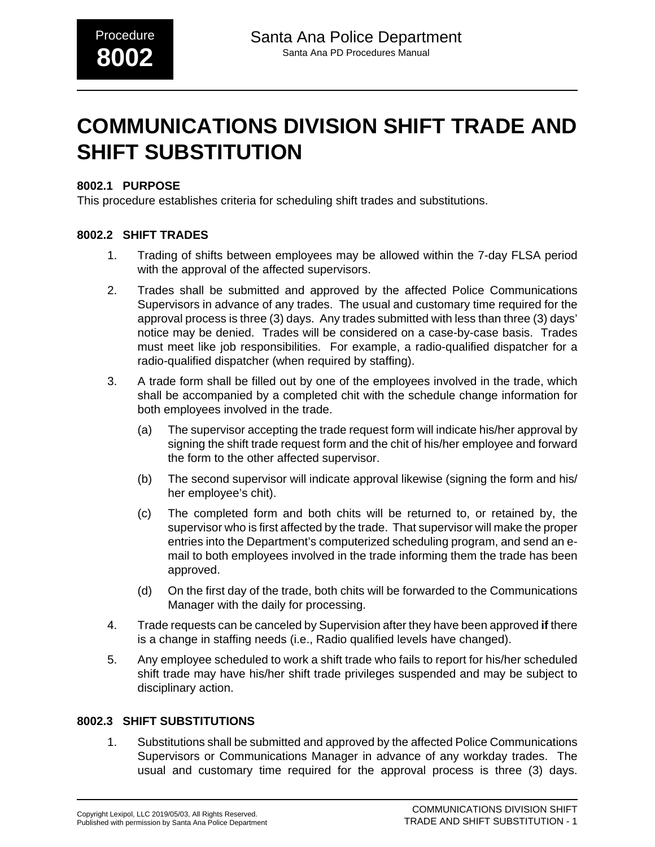# **COMMUNICATIONS DIVISION SHIFT TRADE AND SHIFT SUBSTITUTION**

## **8002.1 PURPOSE**

This procedure establishes criteria for scheduling shift trades and substitutions.

## **8002.2 SHIFT TRADES**

- 1. Trading of shifts between employees may be allowed within the 7-day FLSA period with the approval of the affected supervisors.
- 2. Trades shall be submitted and approved by the affected Police Communications Supervisors in advance of any trades. The usual and customary time required for the approval process is three (3) days. Any trades submitted with less than three (3) days' notice may be denied. Trades will be considered on a case-by-case basis. Trades must meet like job responsibilities. For example, a radio-qualified dispatcher for a radio-qualified dispatcher (when required by staffing).
- 3. A trade form shall be filled out by one of the employees involved in the trade, which shall be accompanied by a completed chit with the schedule change information for both employees involved in the trade.
	- (a) The supervisor accepting the trade request form will indicate his/her approval by signing the shift trade request form and the chit of his/her employee and forward the form to the other affected supervisor.
	- (b) The second supervisor will indicate approval likewise (signing the form and his/ her employee's chit).
	- (c) The completed form and both chits will be returned to, or retained by, the supervisor who is first affected by the trade. That supervisor will make the proper entries into the Department's computerized scheduling program, and send an email to both employees involved in the trade informing them the trade has been approved.
	- (d) On the first day of the trade, both chits will be forwarded to the Communications Manager with the daily for processing.
- 4. Trade requests can be canceled by Supervision after they have been approved **if** there is a change in staffing needs (i.e., Radio qualified levels have changed).
- 5. Any employee scheduled to work a shift trade who fails to report for his/her scheduled shift trade may have his/her shift trade privileges suspended and may be subject to disciplinary action.

#### **8002.3 SHIFT SUBSTITUTIONS**

1. Substitutions shall be submitted and approved by the affected Police Communications Supervisors or Communications Manager in advance of any workday trades. The usual and customary time required for the approval process is three (3) days.